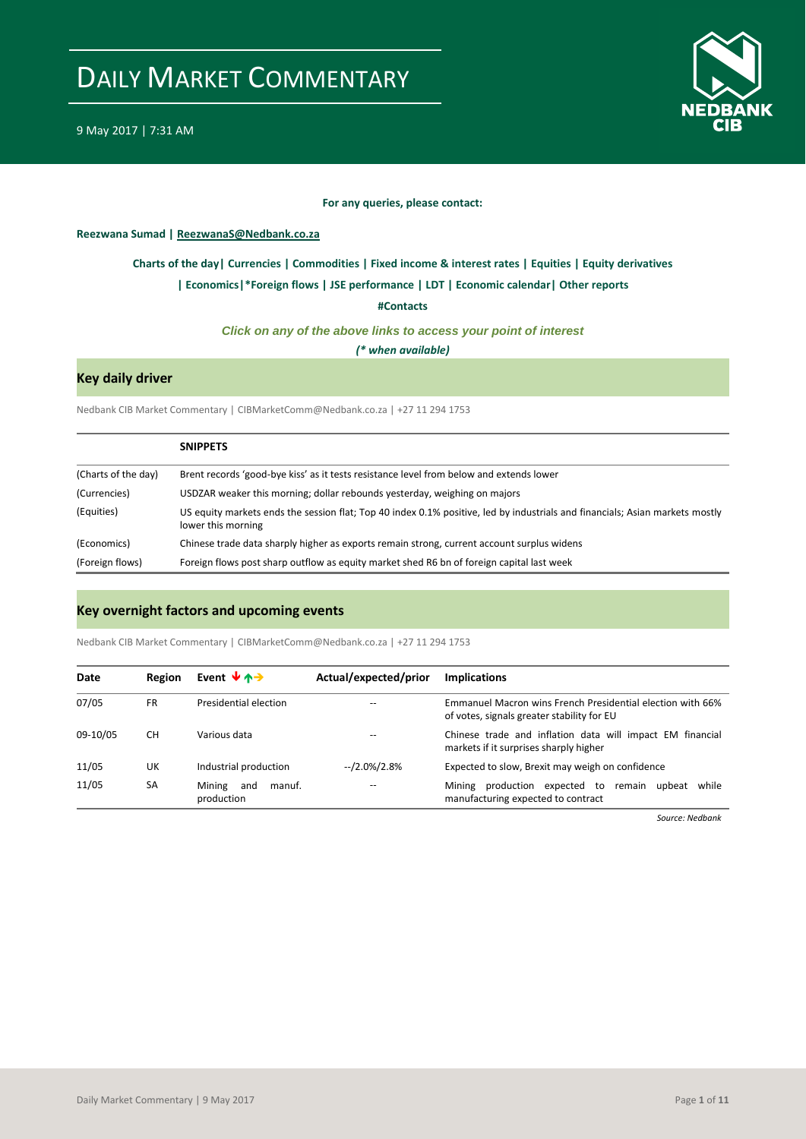

#### **For any queries, please contact:**

#### <span id="page-0-0"></span>**Reezwana Sumad | ReezwanaS@Nedbank.co.za**

#### **[Charts of the day|](#page-1-0) [Currencies](#page-2-0) [| Commodities](#page-3-0) | [Fixed income &](#page-4-0) interest rates [| Equities](#page-5-0) | Equity derivatives**

#### **[| Economics|](#page-6-0)[\\*Foreign flows](#page-6-1) | [JSE performance](#page-7-0) [| LDT](#page-8-0) [| Economic calendar|](#page-8-1) Other reports**

**[#Contacts](#page-9-0)**

#### *Click on any of the above links to access your point of interest*

*(\* when available)*

#### **Key daily driver**

Nedbank CIB Market Commentary | CIBMarketComm@Nedbank.co.za | +27 11 294 1753

|                     | <b>SNIPPETS</b>                                                                                                                                    |
|---------------------|----------------------------------------------------------------------------------------------------------------------------------------------------|
| (Charts of the day) | Brent records 'good-bye kiss' as it tests resistance level from below and extends lower                                                            |
| (Currencies)        | USDZAR weaker this morning; dollar rebounds yesterday, weighing on majors                                                                          |
| (Equities)          | US equity markets ends the session flat; Top 40 index 0.1% positive, led by industrials and financials; Asian markets mostly<br>lower this morning |
| (Economics)         | Chinese trade data sharply higher as exports remain strong, current account surplus widens                                                         |
| (Foreign flows)     | Foreign flows post sharp outflow as equity market shed R6 bn of foreign capital last week                                                          |

#### **Key overnight factors and upcoming events**

Nedbank CIB Market Commentary | CIBMarketComm@Nedbank.co.za | +27 11 294 1753

| Date     | Region    | Event $\forall$ $\land \rightarrow$   | Actual/expected/prior | <b>Implications</b>                                                                                      |
|----------|-----------|---------------------------------------|-----------------------|----------------------------------------------------------------------------------------------------------|
| 07/05    | FR        | Presidential election                 |                       | Emmanuel Macron wins French Presidential election with 66%<br>of votes, signals greater stability for EU |
| 09-10/05 | <b>CH</b> | Various data                          |                       | Chinese trade and inflation data will impact EM financial<br>markets if it surprises sharply higher      |
| 11/05    | UK        | Industrial production                 | --/2.0%/2.8%          | Expected to slow, Brexit may weigh on confidence                                                         |
| 11/05    | SA        | Mining<br>and<br>manuf.<br>production |                       | production expected to remain upbeat<br>while<br>Mining<br>manufacturing expected to contract            |

*Source: Nedbank*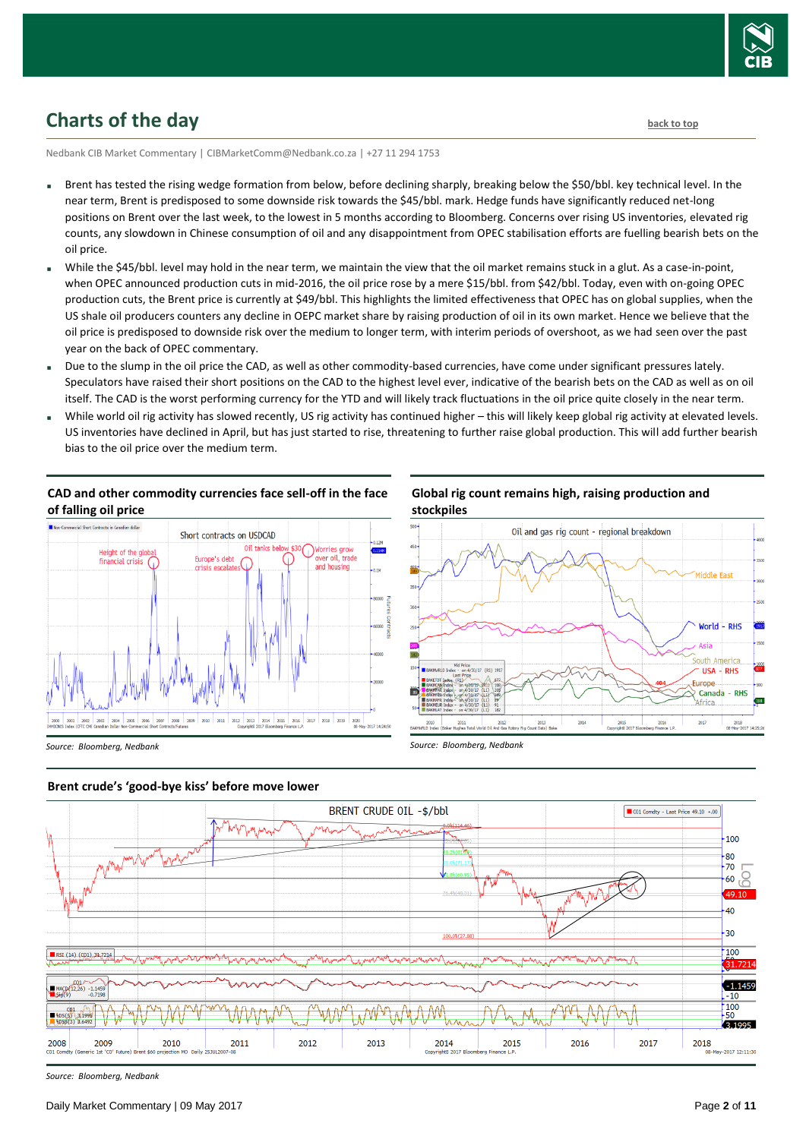

# <span id="page-1-0"></span>**Charts of the day** [back to top](#page-0-0) back to top

Nedbank CIB Market Commentary | CIBMarketComm@Nedbank.co.za | +27 11 294 1753

- Brent has tested the rising wedge formation from below, before declining sharply, breaking below the \$50/bbl. key technical level. In the near term, Brent is predisposed to some downside risk towards the \$45/bbl. mark. Hedge funds have significantly reduced net-long positions on Brent over the last week, to the lowest in 5 months according to Bloomberg. Concerns over rising US inventories, elevated rig counts, any slowdown in Chinese consumption of oil and any disappointment from OPEC stabilisation efforts are fuelling bearish bets on the oil price.
- While the \$45/bbl. level may hold in the near term, we maintain the view that the oil market remains stuck in a glut. As a case-in-point, when OPEC announced production cuts in mid-2016, the oil price rose by a mere \$15/bbl. from \$42/bbl. Today, even with on-going OPEC production cuts, the Brent price is currently at \$49/bbl. This highlights the limited effectiveness that OPEC has on global supplies, when the US shale oil producers counters any decline in OEPC market share by raising production of oil in its own market. Hence we believe that the oil price is predisposed to downside risk over the medium to longer term, with interim periods of overshoot, as we had seen over the past year on the back of OPEC commentary.
- Due to the slump in the oil price the CAD, as well as other commodity-based currencies, have come under significant pressures lately. Speculators have raised their short positions on the CAD to the highest level ever, indicative of the bearish bets on the CAD as well as on oil itself. The CAD is the worst performing currency for the YTD and will likely track fluctuations in the oil price quite closely in the near term.
- While world oil rig activity has slowed recently, US rig activity has continued higher this will likely keep global rig activity at elevated levels. US inventories have declined in April, but has just started to rise, threatening to further raise global production. This will add further bearish bias to the oil price over the medium term.



# **CAD and other commodity currencies face sell-off in the face**

**Global rig count remains high, raising production and stockpiles**



*Source: Bloomberg, Nedbank*



*Source: Bloomberg, Nedbank*



*Source: Bloomberg, Nedbank*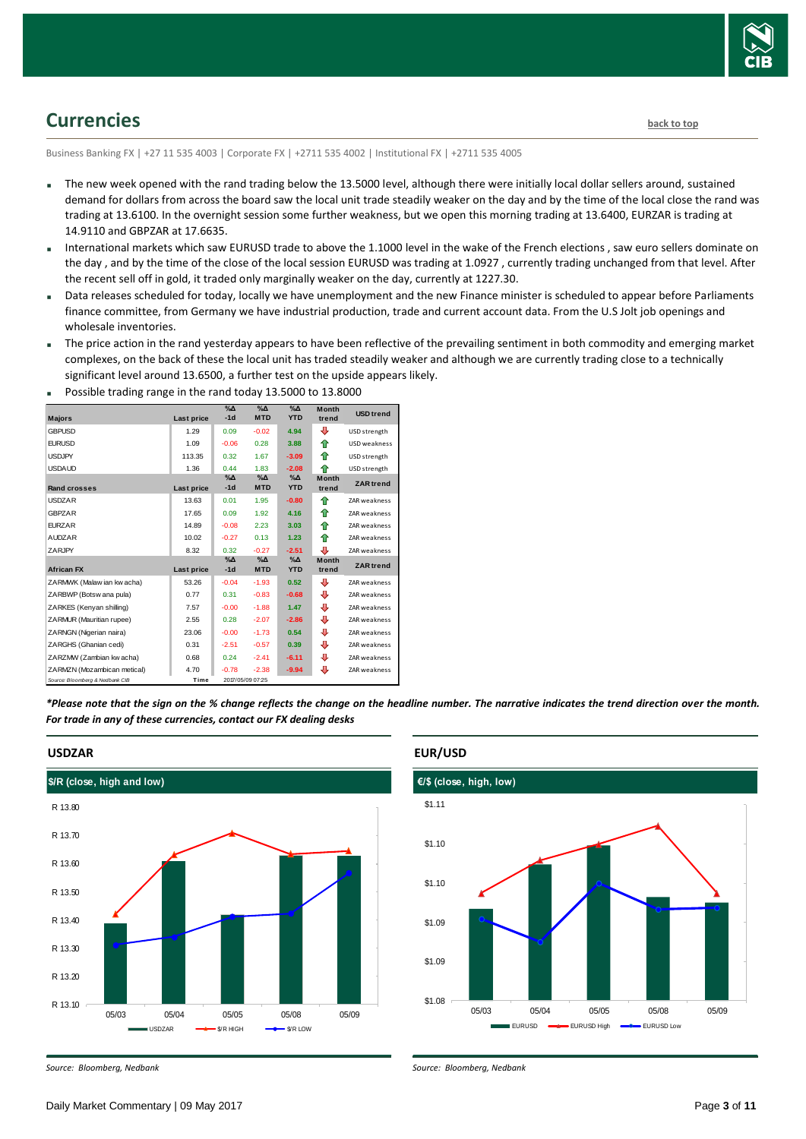

# <span id="page-2-0"></span>**Currencies [back to top](#page-0-0)**

Business Banking FX | +27 11 535 4003 | Corporate FX | +2711 535 4002 | Institutional FX | +2711 535 4005

- The new week opened with the rand trading below the 13.5000 level, although there were initially local dollar sellers around, sustained demand for dollars from across the board saw the local unit trade steadily weaker on the day and by the time of the local close the rand was trading at 13.6100. In the overnight session some further weakness, but we open this morning trading at 13.6400, EURZAR is trading at 14.9110 and GBPZAR at 17.6635.
- International markets which saw EURUSD trade to above the 1.1000 level in the wake of the French elections , saw euro sellers dominate on the day , and by the time of the close of the local session EURUSD was trading at 1.0927 , currently trading unchanged from that level. After the recent sell off in gold, it traded only marginally weaker on the day, currently at 1227.30.
- Data releases scheduled for today, locally we have unemployment and the new Finance minister is scheduled to appear before Parliaments finance committee, from Germany we have industrial production, trade and current account data. From the U.S Jolt job openings and wholesale inventories.
- The price action in the rand yesterday appears to have been reflective of the prevailing sentiment in both commodity and emerging market complexes, on the back of these the local unit has traded steadily weaker and although we are currently trading close to a technically significant level around 13.6500, a further test on the upside appears likely.

| $\frac{1}{2}$ cooler to a distribution of the state to any 2010000 to |            |                        |                             |                           |                       |                     |  |  |
|-----------------------------------------------------------------------|------------|------------------------|-----------------------------|---------------------------|-----------------------|---------------------|--|--|
| <b>Majors</b>                                                         | Last price | $\%$ $\Delta$<br>$-1d$ | $\% \Delta$<br><b>MTD</b>   | $\% \Delta$<br><b>YTD</b> | <b>Month</b><br>trend | <b>USD</b> trend    |  |  |
| <b>GBPUSD</b>                                                         | 1.29       | 0.09                   | $-0.02$                     | 4.94                      | ⊕                     | USD strength        |  |  |
| <b>EURUSD</b>                                                         | 1.09       | $-0.06$                | 0.28                        | 3.88                      | ⇑                     | USD weakness        |  |  |
| <b>USDJPY</b>                                                         | 113.35     | 0.32                   | 1.67                        | $-3.09$                   | ✿                     | USD strength        |  |  |
| <b>USDAUD</b>                                                         | 1.36       | 0.44                   | 1.83                        | $-2.08$                   | ♠                     | USD strength        |  |  |
| <b>Rand crosses</b>                                                   | Last price | $\%$ $\Delta$<br>$-1d$ | $\%$ $\Delta$<br><b>MTD</b> | $\% \Delta$<br><b>YTD</b> | <b>Month</b><br>trend | <b>ZAR</b> trend    |  |  |
| <b>USDZAR</b>                                                         | 13.63      | 0.01                   | 1.95                        | $-0.80$                   | ⇑                     | ZAR weakness        |  |  |
| <b>GBPZAR</b>                                                         | 17.65      | 0.09                   | 1.92                        | 4.16                      | ⇮                     | <b>ZAR weakness</b> |  |  |
| <b>EURZAR</b>                                                         | 14.89      | $-0.08$                | 2.23                        | 3.03                      | ♠                     | ZAR weakness        |  |  |
| <b>AUDZAR</b>                                                         | 10.02      | $-0.27$                | 0.13                        | 1.23                      | ⇑                     | ZAR weakness        |  |  |
| ZARJPY                                                                | 8.32       | 0.32                   | $-0.27$                     | $-2.51$                   | ⊕                     | ZAR weakness        |  |  |
|                                                                       |            | $% \Delta$             | $\% \Delta$                 | $\% \Delta$               | <b>Month</b>          | <b>ZAR</b> trend    |  |  |
| <b>African FX</b>                                                     | Last price | $-1d$                  | <b>MTD</b>                  | <b>YTD</b>                | trend                 |                     |  |  |
| ZARMWK (Malaw ian kw acha)                                            | 53.26      | $-0.04$                | $-1.93$                     | 0.52                      | ⊕                     | ZAR weakness        |  |  |
| ZARBWP (Botsw ana pula)                                               | 0.77       | 0.31                   | $-0.83$                     | $-0.68$                   | ⊕                     | ZAR weakness        |  |  |
| ZARKES (Kenyan shilling)                                              | 7.57       | $-0.00$                | $-1.88$                     | 1.47                      | ⊕                     | ZAR weakness        |  |  |
| ZARMUR (Mauritian rupee)                                              | 2.55       | 0.28                   | $-2.07$                     | $-2.86$                   | ⊕                     | ZAR weakness        |  |  |
| ZARNGN (Nigerian naira)                                               | 23.06      | $-0.00$                | $-1.73$                     | 0.54                      | ⊕                     | ZAR weakness        |  |  |
| ZARGHS (Ghanian cedi)                                                 | 0.31       | $-2.51$                | $-0.57$                     | 0.39                      | ⊕                     | ZAR weakness        |  |  |
| ZARZMW (Zambian kw acha)                                              | 0.68       | 0.24                   | $-2.41$                     | $-6.11$                   | ⊕                     | ZAR weakness        |  |  |
| ZARMZN (Mozambican metical)                                           | 4.70       | $-0.78$                | $-2.38$                     | $-9.94$                   | ⊕                     | ZAR weakness        |  |  |
| Source: Bloomberg & Nedbank CIB                                       | Time       |                        | 2017/05/09 07:25            |                           |                       |                     |  |  |

Possible trading range in the rand today 13.5000 to 13.8000

*\*Please note that the sign on the % change reflects the change on the headline number. The narrative indicates the trend direction over the month. For trade in any of these currencies, contact our FX dealing desks*



#### **EUR/USD**

*Source: Bloomberg, Nedbank*



*Source: Bloomberg, Nedbank*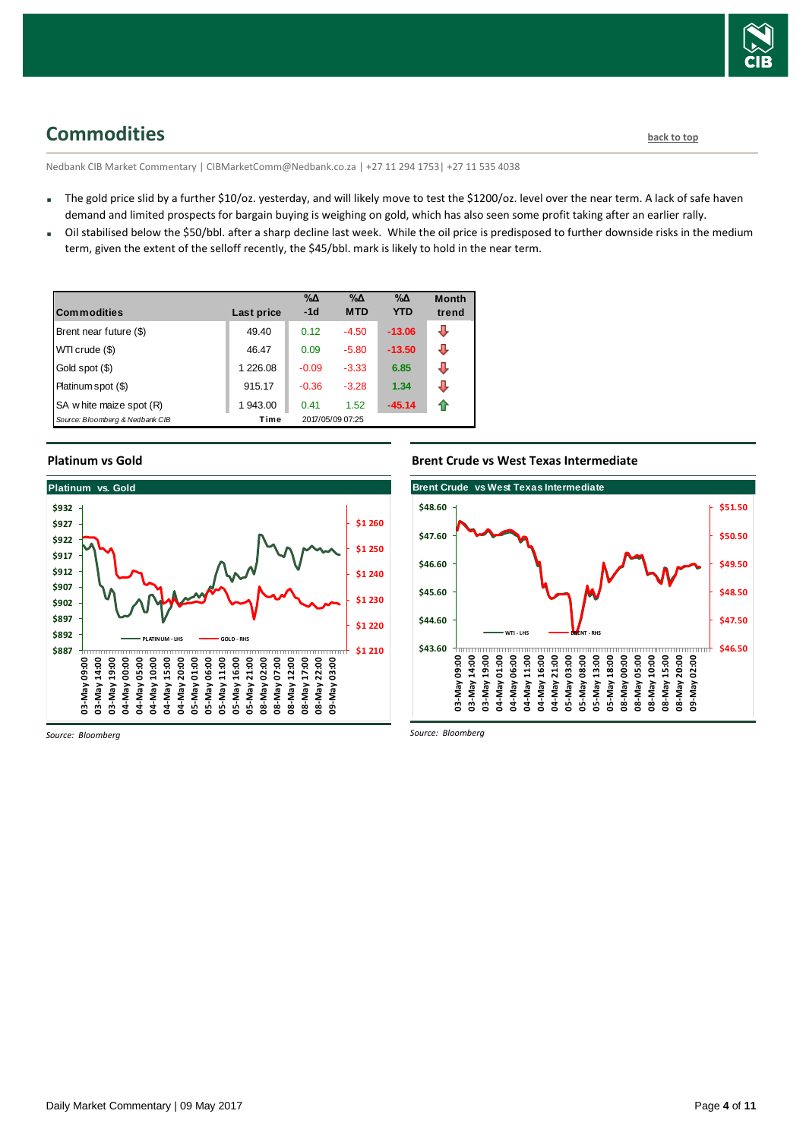

## <span id="page-3-0"></span>**Commodities [back to top](#page-0-0)**

Nedbank CIB Market Commentary | CIBMarketComm@Nedbank.co.za | +27 11 294 1753| +27 11 535 4038

- The gold price slid by a further \$10/oz. yesterday, and will likely move to test the \$1200/oz. level over the near term. A lack of safe haven demand and limited prospects for bargain buying is weighing on gold, which has also seen some profit taking after an earlier rally.
- Oil stabilised below the \$50/bbl. after a sharp decline last week. While the oil price is predisposed to further downside risks in the medium term, given the extent of the selloff recently, the \$45/bbl. mark is likely to hold in the near term.

| <b>Commodities</b>              | Last price | %Δ<br>$-1d$ | %Δ<br><b>MTD</b> | %Δ<br><b>YTD</b> | <b>Month</b><br>trend |
|---------------------------------|------------|-------------|------------------|------------------|-----------------------|
| Brent near future (\$)          | 49.40      | 0.12        | $-4.50$          | $-13.06$         | ⊕                     |
| WTI crude (\$)                  | 46.47      | 0.09        | $-5.80$          | $-13.50$         | ⊕                     |
| Gold spot (\$)                  | 1 226.08   | $-0.09$     | $-3.33$          | 6.85             | ⊕                     |
| Platinum spot (\$)              | 915.17     | $-0.36$     | $-3.28$          | 1.34             | ⇩                     |
| SA w hite maize spot (R)        | 1943.00    | 0.41        | 1.52             | $-45.14$         | ⇑                     |
| Source: Bloomberg & Nedbank CIB | Time       |             | 2017/05/09 07:25 |                  |                       |

#### **Platinum vs Gold**



#### **Brent Crude vs West Texas Intermediate**



*Source: Bloomberg*

*Source: Bloomberg*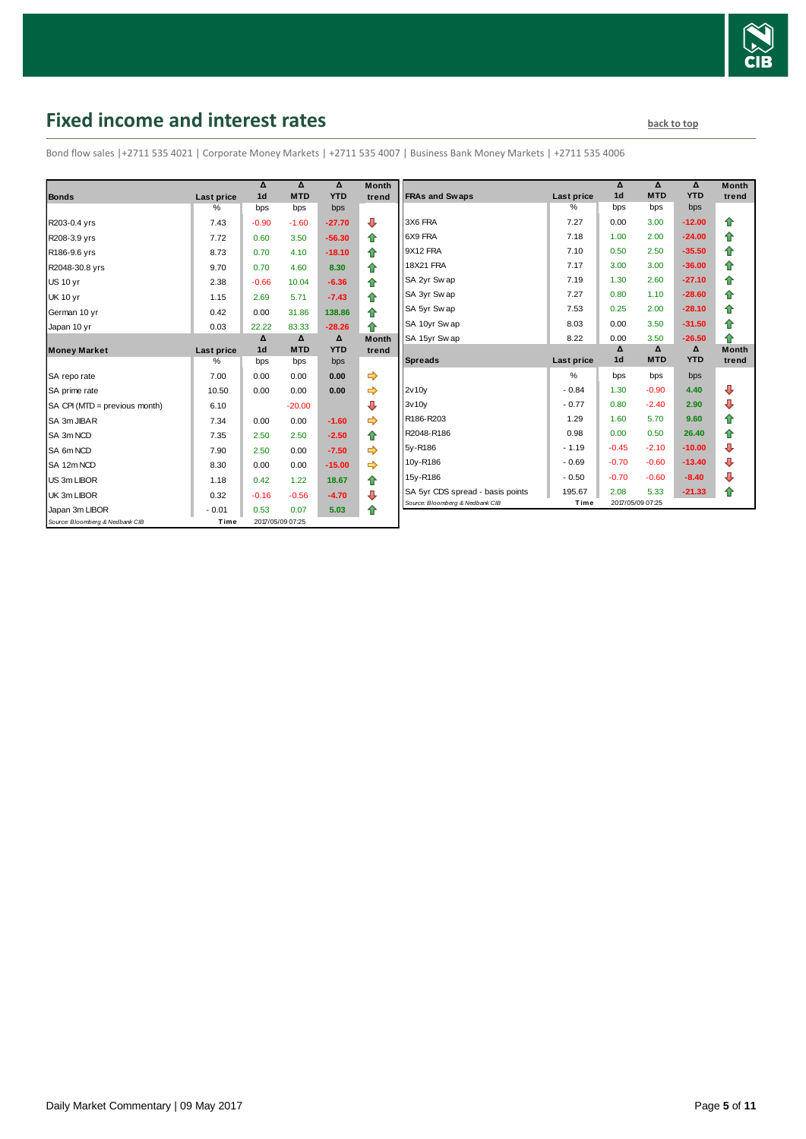

# <span id="page-4-0"></span>**Fixed income and interest rates back to the line of the set of the set of the set of the set of the set of the set of the set of the set of the set of the set of the set of the set of the set of the set of the set of th**

Bond flow sales |+2711 535 4021 | Corporate Money Markets | +2711 535 4007 | Business Bank Money Markets | +2711 535 4006

| <b>Bonds</b>                    | Last price         | Δ<br>1 <sub>d</sub> | Δ<br><b>MTD</b>  | Δ<br><b>YTD</b> | <b>Month</b><br>trend |
|---------------------------------|--------------------|---------------------|------------------|-----------------|-----------------------|
|                                 | $\%$               | bps                 | bps              | bps             |                       |
| R203-0.4 yrs                    | 7.43               | $-0.90$             | $-1.60$          | $-27.70$        | ⊕                     |
| R208-3.9 yrs                    | 7.72               | 0.60                | 3.50             | $-56.30$        | ⇑                     |
| R186-9.6 yrs                    | 8.73               | 0.70                | 4.10             | $-18.10$        | ⇑                     |
| R2048-30.8 yrs                  | 9.70               | 0.70                | 4.60             | 8.30            | ⇑                     |
| <b>US 10 vr</b>                 | 2.38               | $-0.66$             | 10.04            | $-6.36$         | 合                     |
| <b>UK 10 yr</b>                 | 1.15               | 2.69                | 5.71             | $-7.43$         | ⇑                     |
| German 10 yr                    | 0.42               | 0.00                | 31.86            | 138.86          | ⇑                     |
| Japan 10 yr                     | 0.03               | 22.22               | 83.33            | $-28.26$        | ♠                     |
|                                 |                    | Δ<br>1 <sub>d</sub> | Δ<br><b>MTD</b>  | Δ<br><b>YTD</b> | <b>Month</b>          |
| <b>Money Market</b>             | Last price<br>$\%$ | bps                 | bps              | bps             | trend                 |
| SA repo rate                    | 7.00               | 0.00                | 0.00             | 0.00            | ⇛                     |
| SA prime rate                   | 10.50              | 0.00                | 0.00             | 0.00            |                       |
| SA CPI (MTD = previous month)   | 6.10               |                     | $-20.00$         |                 | ⊕                     |
| SA 3m JIBAR                     | 7.34               | 0.00                | 0.00             | $-1.60$         |                       |
| SA 3m NCD                       | 7.35               | 2.50                | 2.50             | $-2.50$         | ⇑                     |
| SA 6m NCD                       | 7.90               | 2.50                | 0.00             | $-7.50$         |                       |
| SA 12m NCD                      | 8.30               | 0.00                | 0.00             | $-15.00$        | ⇨                     |
| US 3m LIBOR                     | 1.18               | 0.42                | 1.22             | 18.67           | ✿                     |
| UK 3m LIBOR                     | 0.32               | $-0.16$             | $-0.56$          | $-4.70$         | ⊕                     |
| Japan 3m LIBOR                  | $-0.01$            | 0.53                | 0.07             | 5.03            | ♠                     |
| Source: Bloomberg & Nedbank CIB | Time               |                     | 2017/05/09 07:25 |                 |                       |

| Month  |                                  |                    | Δ<br>1 <sub>d</sub> | Δ<br><b>MTD</b> | Δ<br><b>YTD</b> | <b>Month</b> |
|--------|----------------------------------|--------------------|---------------------|-----------------|-----------------|--------------|
| trend  | <b>FRAs and Swaps</b>            | Last price<br>$\%$ | bps                 | bps             | bps             | trend        |
|        | 3X6 FRA                          | 7.27               | 0.00                | 3.00            | $-12.00$        |              |
| ⊕      |                                  |                    |                     |                 |                 | ⇑            |
| 合      | 6X9 FRA                          | 7.18               | 1.00                | 2.00            | $-24.00$        | ⇮            |
| ⇮      | 9X12 FRA                         | 7.10               | 0.50                | 2.50            | $-35.50$        | 合            |
| 合      | <b>18X21 FRA</b>                 | 7.17               | 3.00                | 3.00            | $-36.00$        | 合            |
| 合      | SA 2yr Sw ap                     | 7.19               | 1.30                | 2.60            | $-27.10$        | 合            |
| ⇮      | SA 3yr Swap                      | 7.27               | 0.80                | 1.10            | $-28.60$        | 合            |
| 合      | SA 5yr Swap                      | 7.53               | 0.25                | 2.00            | $-28.10$        | ⇑            |
| 合      | SA 10yr Swap                     | 8.03               | 0.00                | 3.50            | $-31.50$        | 合            |
| Month  | SA 15yr Swap                     | 8.22               | 0.00                | 3.50            | $-26.50$        | 合            |
| trend  |                                  |                    | Δ                   | Δ               | Δ               | <b>Month</b> |
|        |                                  |                    |                     |                 |                 |              |
|        | <b>Spreads</b>                   | Last price         | 1 <sub>d</sub>      | <b>MTD</b>      | <b>YTD</b>      | trend        |
| ⇛      |                                  | $\frac{9}{6}$      | bps                 | bps             | bps             |              |
| ⇛      | 2v10v                            | $-0.84$            | 1.30                | $-0.90$         | 4.40            | ⊕            |
| ⊕      | 3v10v                            | $-0.77$            | 0.80                | $-2.40$         | 2.90            | ⊕            |
| ⇛      | R186-R203                        | 1.29               | 1.60                | 5.70            | 9.60            | 合            |
| 合      | R2048-R186                       | 0.98               | 0.00                | 0.50            | 26.40           | 合            |
| ⇛      | 5y-R186                          | $-1.19$            | $-0.45$             | $-2.10$         | $-10.00$        | ₽            |
| ⇛      | 10y-R186                         | $-0.69$            | $-0.70$             | $-0.60$         | $-13.40$        | ⊕            |
|        | 15y-R186                         | $-0.50$            | $-0.70$             | $-0.60$         | $-8.40$         | ⊕            |
| ⇑<br>⊕ | SA 5yr CDS spread - basis points | 195.67             | 2.08                | 5.33            | $-21.33$        | ⇮            |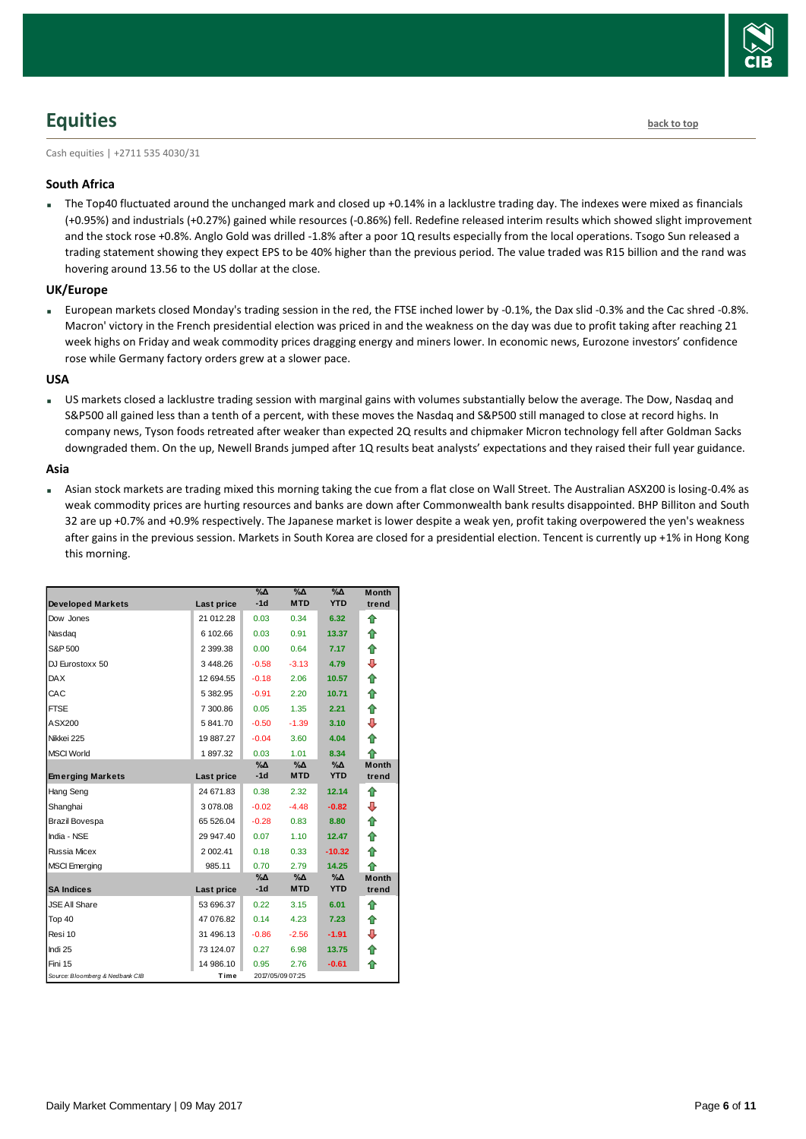

# <span id="page-5-0"></span>**Equities [back to top](#page-0-0)**

Cash equities | +2711 535 4030/31

#### **South Africa**

The Top40 fluctuated around the unchanged mark and closed up +0.14% in a lacklustre trading day. The indexes were mixed as financials (+0.95%) and industrials (+0.27%) gained while resources (-0.86%) fell. Redefine released interim results which showed slight improvement and the stock rose +0.8%. Anglo Gold was drilled -1.8% after a poor 1Q results especially from the local operations. Tsogo Sun released a trading statement showing they expect EPS to be 40% higher than the previous period. The value traded was R15 billion and the rand was hovering around 13.56 to the US dollar at the close.

#### **UK/Europe**

European markets closed Monday's trading session in the red, the FTSE inched lower by -0.1%, the Dax slid -0.3% and the Cac shred -0.8%. Macron' victory in the French presidential election was priced in and the weakness on the day was due to profit taking after reaching 21 week highs on Friday and weak commodity prices dragging energy and miners lower. In economic news, Eurozone investors' confidence rose while Germany factory orders grew at a slower pace.

#### **USA**

 US markets closed a lacklustre trading session with marginal gains with volumes substantially below the average. The Dow, Nasdaq and S&P500 all gained less than a tenth of a percent, with these moves the Nasdaq and S&P500 still managed to close at record highs. In company news, Tyson foods retreated after weaker than expected 2Q results and chipmaker Micron technology fell after Goldman Sacks downgraded them. On the up, Newell Brands jumped after 1Q results beat analysts' expectations and they raised their full year guidance.

#### **Asia**

 Asian stock markets are trading mixed this morning taking the cue from a flat close on Wall Street. The Australian ASX200 is losing-0.4% as weak commodity prices are hurting resources and banks are down after Commonwealth bank results disappointed. BHP Billiton and South 32 are up +0.7% and +0.9% respectively. The Japanese market is lower despite a weak yen, profit taking overpowered the yen's weakness after gains in the previous session. Markets in South Korea are closed for a presidential election. Tencent is currently up +1% in Hong Kong this morning.

|                                 |            | $\Delta_0$<br>$-1d$ | $\Delta_0$<br><b>MTD</b> | $\Delta_0$<br><b>YTD</b> | <b>Month</b><br>trend |
|---------------------------------|------------|---------------------|--------------------------|--------------------------|-----------------------|
| <b>Developed Markets</b>        | Last price |                     |                          |                          |                       |
| Dow Jones                       | 21 012.28  | 0.03                | 0.34                     | 6.32                     | ⇑                     |
| Nasdag                          | 6 102.66   | 0.03                | 0.91                     | 13.37                    | ⇮                     |
| S&P 500                         | 2 399.38   | 0.00                | 0.64                     | 7.17                     | ⇮                     |
| DJ Eurostoxx 50                 | 3448.26    | $-0.58$             | $-3.13$                  | 4.79                     | ⊕                     |
| <b>DAX</b>                      | 12 694.55  | $-0.18$             | 2.06                     | 10.57                    | ✿                     |
| CAC                             | 5 382.95   | $-0.91$             | 2.20                     | 10.71                    | 合                     |
| <b>FTSE</b>                     | 7 300.86   | 0.05                | 1.35                     | 2.21                     | ⇑                     |
| ASX200                          | 5 841.70   | $-0.50$             | $-1.39$                  | 3.10                     | ⊕                     |
| Nikkei 225                      | 19 887.27  | $-0.04$             | 3.60                     | 4.04                     | ⇮                     |
| <b>MSCI World</b>               | 1897.32    | 0.03                | 1.01                     | 8.34                     | ♠                     |
|                                 |            | %Δ                  | %∆                       | %Δ                       | <b>Month</b>          |
| <b>Emerging Markets</b>         | Last price | $-1d$               | <b>MTD</b>               | <b>YTD</b>               | trend                 |
| Hang Seng                       | 24 671.83  | 0.38                | 2.32                     | 12.14                    | ♠                     |
| Shanghai                        | 3078.08    | $-0.02$             | $-4.48$                  | $-0.82$                  | ⊕                     |
| Brazil Bovespa                  | 65 526.04  | $-0.28$             | 0.83                     | 8.80                     | 合                     |
| India - NSE                     | 29 947.40  | 0.07                | 1.10                     | 12.47                    | ⇑                     |
| Russia Micex                    | 2 002.41   | 0.18                | 0.33                     | $-10.32$                 | 合                     |
| <b>MSCI</b> Emerging            | 985.11     | 0.70                | 2.79                     | 14.25                    | ⇑                     |
|                                 |            | %Δ                  | %Д                       | %Δ                       | <b>Month</b>          |
| <b>SA Indices</b>               | Last price | $-1d$               | <b>MTD</b>               | <b>YTD</b>               | trend                 |
| <b>JSE All Share</b>            | 53 696.37  | 0.22                | 3.15                     | 6.01                     | ♠                     |
| Top 40                          | 47 076.82  | 0.14                | 4.23                     | 7.23                     | ⇮                     |
| Resi 10                         | 31 496.13  | $-0.86$             | $-2.56$                  | $-1.91$                  | ⊕                     |
| Indi 25                         | 73 124.07  | 0.27                | 6.98                     | 13.75                    | ✿                     |
| Fini 15                         | 14 986.10  | 0.95                | 2.76                     | $-0.61$                  | ♠                     |
| Source: Bloomberg & Nedbank CIB | Time       |                     | 2017/05/09 07:25         |                          |                       |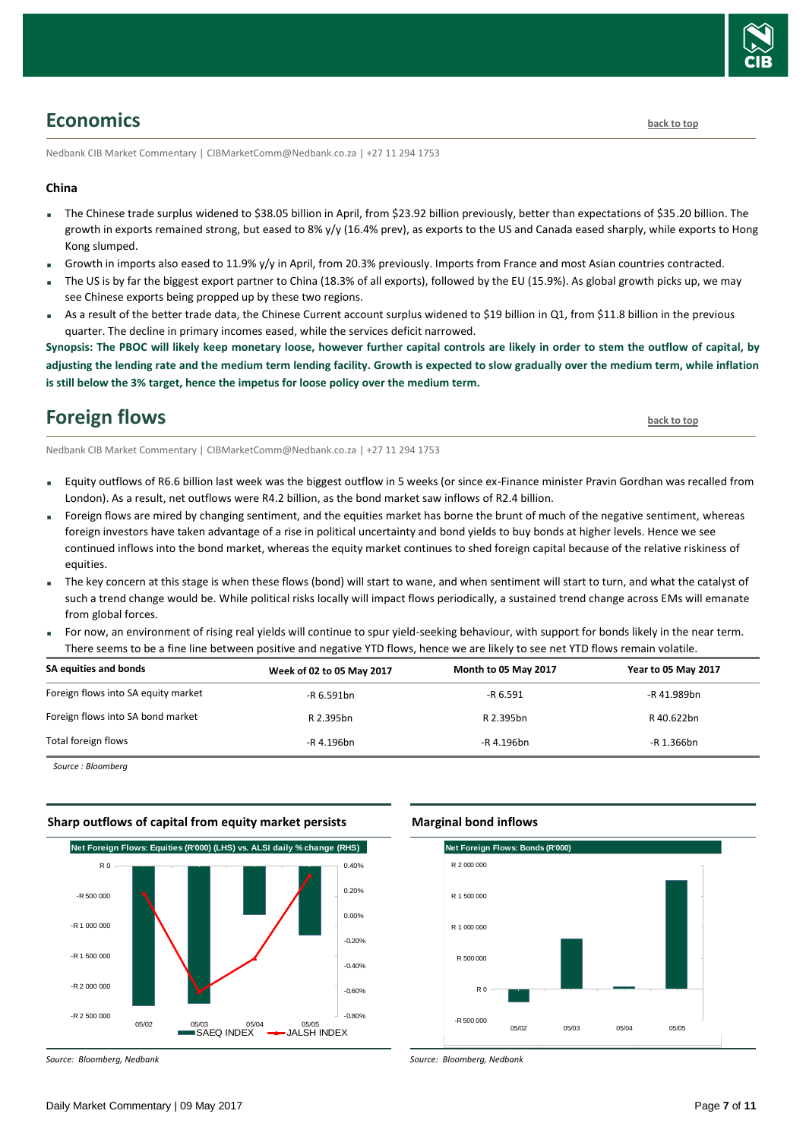

## <span id="page-6-0"></span>**Economics [back to top](#page-0-0)**

Nedbank CIB Market Commentary | CIBMarketComm@Nedbank.co.za | +27 11 294 1753

#### **China**

- The Chinese trade surplus widened to \$38.05 billion in April, from \$23.92 billion previously, better than expectations of \$35.20 billion. The growth in exports remained strong, but eased to 8% y/y (16.4% prev), as exports to the US and Canada eased sharply, while exports to Hong Kong slumped.
- Growth in imports also eased to 11.9% y/y in April, from 20.3% previously. Imports from France and most Asian countries contracted.
- The US is by far the biggest export partner to China (18.3% of all exports), followed by the EU (15.9%). As global growth picks up, we may see Chinese exports being propped up by these two regions.
- As a result of the better trade data, the Chinese Current account surplus widened to \$19 billion in Q1, from \$11.8 billion in the previous quarter. The decline in primary incomes eased, while the services deficit narrowed.

**Synopsis: The PBOC will likely keep monetary loose, however further capital controls are likely in order to stem the outflow of capital, by adjusting the lending rate and the medium term lending facility. Growth is expected to slow gradually over the medium term, while inflation is still below the 3% target, hence the impetus for loose policy over the medium term.**

### <span id="page-6-1"></span>**Foreign flows [back to top](#page-0-0)**

Nedbank CIB Market Commentary | CIBMarketComm@Nedbank.co.za | +27 11 294 1753

- Equity outflows of R6.6 billion last week was the biggest outflow in 5 weeks (or since ex-Finance minister Pravin Gordhan was recalled from London). As a result, net outflows were R4.2 billion, as the bond market saw inflows of R2.4 billion.
- Foreign flows are mired by changing sentiment, and the equities market has borne the brunt of much of the negative sentiment, whereas foreign investors have taken advantage of a rise in political uncertainty and bond yields to buy bonds at higher levels. Hence we see continued inflows into the bond market, whereas the equity market continues to shed foreign capital because of the relative riskiness of equities.
- The key concern at this stage is when these flows (bond) will start to wane, and when sentiment will start to turn, and what the catalyst of such a trend change would be. While political risks locally will impact flows periodically, a sustained trend change across EMs will emanate from global forces.
- For now, an environment of rising real yields will continue to spur yield-seeking behaviour, with support for bonds likely in the near term. There seems to be a fine line between positive and negative YTD flows, hence we are likely to see net YTD flows remain volatile.

| SA equities and bonds               | Week of 02 to 05 May 2017 | Month to 05 May 2017 | <b>Year to 05 May 2017</b> |
|-------------------------------------|---------------------------|----------------------|----------------------------|
| Foreign flows into SA equity market | $-R$ 6.591bn              | $-R6.591$            | -R 41.989bn                |
| Foreign flows into SA bond market   | R 2.395bn                 | R 2.395bn            | R 40.622bn                 |
| Total foreign flows                 | -R 4.196bn                | -R 4.196bn           | -R 1.366bn                 |

*Source : Bloomberg*

#### **Sharp outflows of capital from equity market persists**



#### **Marginal bond inflows**



*Source: Bloomberg, Nedbank*

*Source: Bloomberg, Nedbank*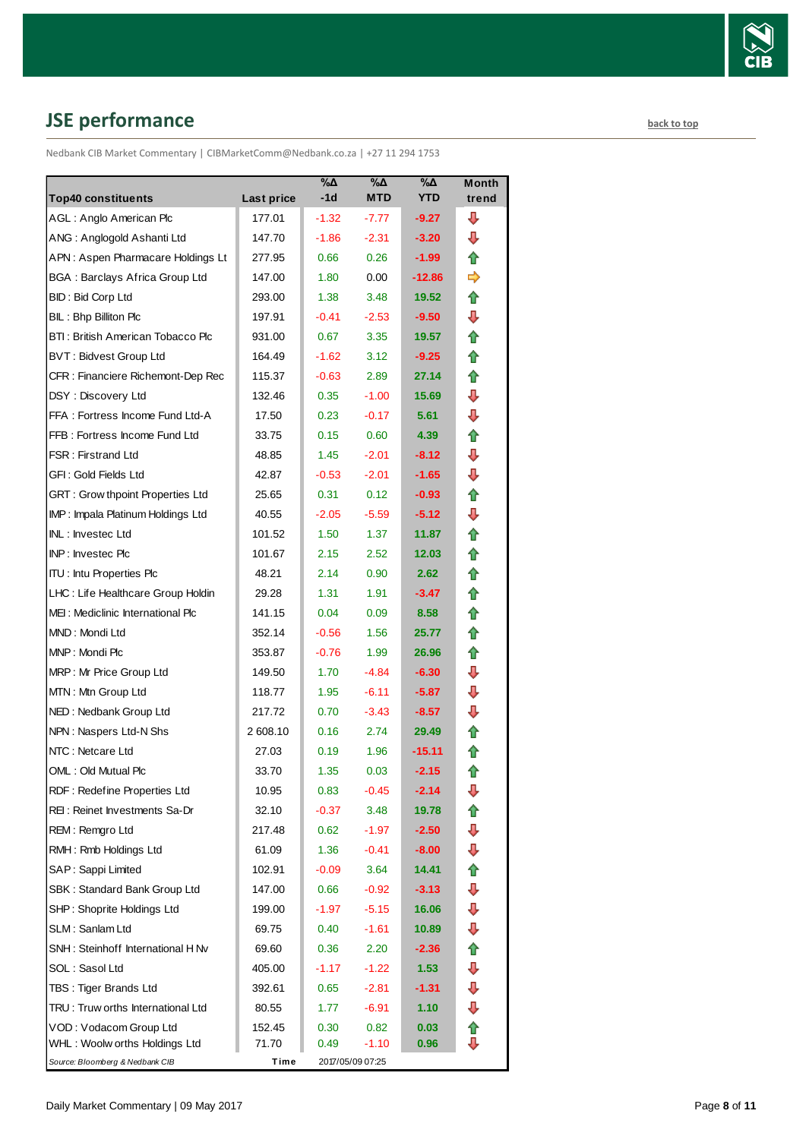

# <span id="page-7-0"></span>**JSE performance [back to top](#page-0-0)**

Nedbank CIB Market Commentary | CIBMarketComm@Nedbank.co.za | +27 11 294 1753

| <b>Top40 constituents</b>             | Last price | %Δ<br>$-1d$ | $\%$ $\Delta$<br><b>MTD</b> | %Δ<br><b>YTD</b> | <b>Month</b><br>trend |
|---------------------------------------|------------|-------------|-----------------------------|------------------|-----------------------|
| AGL: Anglo American Plc               | 177.01     | $-1.32$     | -7.77                       | $-9.27$          | ⊕                     |
| ANG: Anglogold Ashanti Ltd            | 147.70     | $-1.86$     | $-2.31$                     | $-3.20$          | ⊕                     |
| APN: Aspen Pharmacare Holdings Lt     | 277.95     | 0.66        | 0.26                        | $-1.99$          | ⇑                     |
| <b>BGA: Barclays Africa Group Ltd</b> | 147.00     | 1.80        | 0.00                        | $-12.86$         | ⇛                     |
| <b>BID: Bid Corp Ltd</b>              | 293.00     | 1.38        | 3.48                        | 19.52            | ⇑                     |
| BIL: Bhp Billiton Plc                 | 197.91     | $-0.41$     | $-2.53$                     | $-9.50$          | ⊕                     |
| BTI: British American Tobacco Plc     | 931.00     | 0.67        | 3.35                        | 19.57            | ⇑                     |
| <b>BVT: Bidvest Group Ltd</b>         | 164.49     | $-1.62$     | 3.12                        | $-9.25$          | ⇑                     |
| CFR : Financiere Richemont-Dep Rec    | 115.37     | $-0.63$     | 2.89                        | 27.14            | ⇑                     |
| DSY: Discovery Ltd                    | 132.46     | 0.35        | $-1.00$                     | 15.69            | ⇩                     |
| FFA: Fortress Income Fund Ltd-A       | 17.50      | 0.23        | $-0.17$                     | 5.61             | ⇩                     |
| FFB: Fortress Income Fund Ltd         | 33.75      | 0.15        | 0.60                        | 4.39             | ⇑                     |
| <b>FSR: Firstrand Ltd</b>             | 48.85      | 1.45        | $-2.01$                     | $-8.12$          | ⇩                     |
| GFI: Gold Fields Ltd                  | 42.87      | $-0.53$     | $-2.01$                     | $-1.65$          | ⇩                     |
| GRT : Grow thpoint Properties Ltd     | 25.65      | 0.31        | 0.12                        | $-0.93$          | ⇮                     |
| IMP: Impala Platinum Holdings Ltd     | 40.55      | $-2.05$     | $-5.59$                     | $-5.12$          | ⇩                     |
| INL: Investec Ltd                     | 101.52     | 1.50        | 1.37                        | 11.87            | ⇑                     |
| <b>INP: Investec Plc</b>              | 101.67     | 2.15        | 2.52                        | 12.03            | ⇑                     |
| <b>ITU: Intu Properties Plc</b>       | 48.21      | 2.14        | 0.90                        | 2.62             | ⇑                     |
| LHC: Life Healthcare Group Holdin     | 29.28      | 1.31        | 1.91                        | $-3.47$          | ⇑                     |
| MEI: Mediclinic International Plc     | 141.15     | 0.04        | 0.09                        | 8.58             | ⇑                     |
| MND: Mondi Ltd                        | 352.14     | $-0.56$     | 1.56                        | 25.77            | ⇑                     |
| MNP: Mondi Plc                        | 353.87     | $-0.76$     | 1.99                        | 26.96            | ⇑                     |
| MRP: Mr Price Group Ltd               | 149.50     | 1.70        | -4.84                       | $-6.30$          | ⇩                     |
| MTN: Mtn Group Ltd                    | 118.77     | 1.95        | $-6.11$                     | $-5.87$          | ⇩                     |
| NED: Nedbank Group Ltd                | 217.72     | 0.70        | $-3.43$                     | $-8.57$          | ⇩                     |
| NPN: Naspers Ltd-N Shs                | 2 608.10   | 0.16        | 2.74                        | 29.49            | ⇑                     |
| NTC: Netcare Ltd                      | 27.03      | 0.19        | 1.96                        | $-15.11$         | ⇮                     |
| OML: Old Mutual Plc                   | 33.70      | 1.35        | 0.03                        | $-2.15$          | ⇑                     |
| RDF: Redefine Properties Ltd          | 10.95      | 0.83        | $-0.45$                     | $-2.14$          | ⊕                     |
| REI: Reinet Investments Sa-Dr         | 32.10      | $-0.37$     | 3.48                        | 19.78            | ⇑                     |
| REM: Remgro Ltd                       | 217.48     | 0.62        | $-1.97$                     | $-2.50$          | ⊕                     |
| RMH: Rmb Holdings Ltd                 | 61.09      | 1.36        | $-0.41$                     | $-8.00$          | ⊕                     |
| SAP: Sappi Limited                    | 102.91     | $-0.09$     | 3.64                        | 14.41            | ✿                     |
| SBK: Standard Bank Group Ltd          | 147.00     | 0.66        | $-0.92$                     | $-3.13$          | ⊕                     |
| SHP: Shoprite Holdings Ltd            | 199.00     | -1.97       | $-5.15$                     | 16.06            | ⊕                     |
| SLM: Sanlam Ltd                       | 69.75      | 0.40        | $-1.61$                     | 10.89            | ⇩                     |
| SNH: Steinhoff International H Nv     | 69.60      | 0.36        | 2.20                        | $-2.36$          | ⇑                     |
| SOL: Sasol Ltd                        | 405.00     | $-1.17$     | $-1.22$                     | 1.53             | ⊕                     |
| TBS: Tiger Brands Ltd                 | 392.61     | 0.65        | $-2.81$                     | $-1.31$          | ⊕                     |
| TRU: Truw orths International Ltd     | 80.55      | 1.77        | $-6.91$                     | 1.10             | ⊕                     |
| VOD: Vodacom Group Ltd                | 152.45     | 0.30        | 0.82                        | 0.03             | ⇮                     |
| WHL: Woolw orths Holdings Ltd         | 71.70      | 0.49        | $-1.10$                     | 0.96             | ⊕                     |
| Source: Bloomberg & Nedbank CIB       | Time       |             | 2017/05/09 07:25            |                  |                       |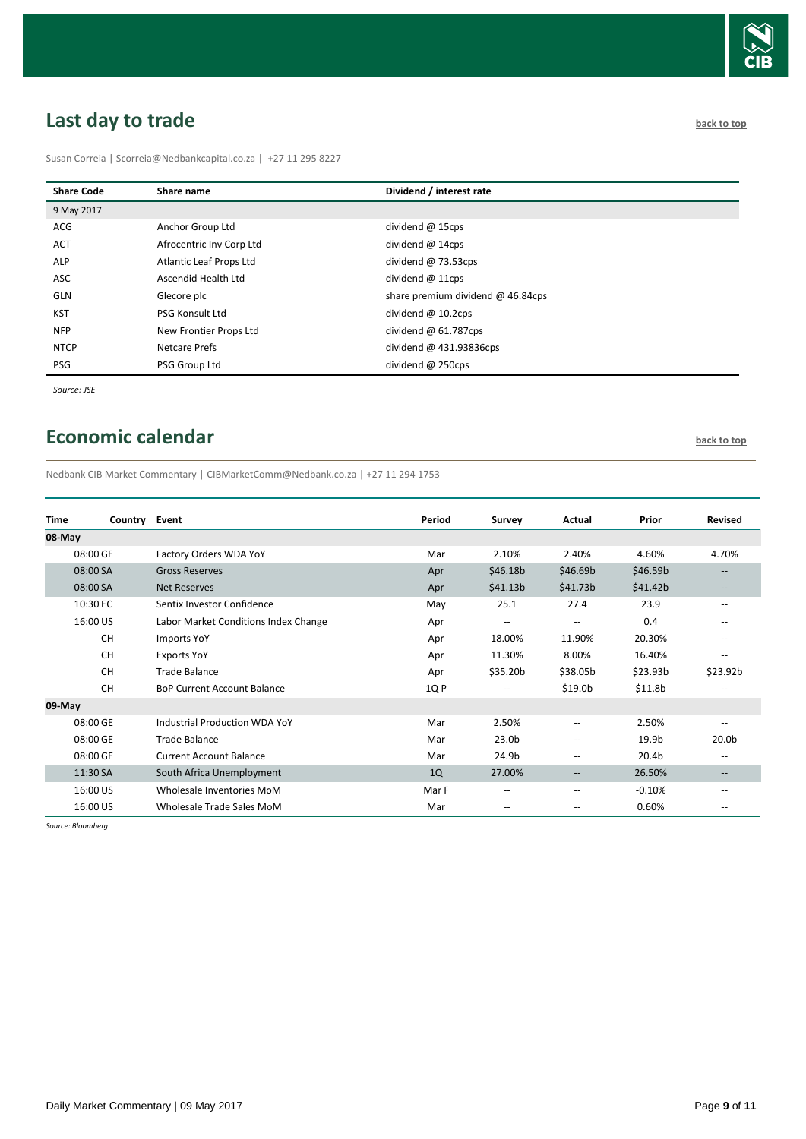

# <span id="page-8-0"></span>**Last day to trade back to the contract of the contract of the contract of the contract of the contract of the contract of the contract of the contract of the contract of the contract of the contract of the contract of t**

Susan Correia | [Scorreia@Nedbankcapital.co.za](mailto:Scorreia@Nedbankcapital.co.za) | +27 11 295 8227

| <b>Share Code</b> | Share name               | Dividend / interest rate                 |
|-------------------|--------------------------|------------------------------------------|
| 9 May 2017        |                          |                                          |
| <b>ACG</b>        | Anchor Group Ltd         | dividend $@$ 15cps                       |
| <b>ACT</b>        | Afrocentric Inv Corp Ltd | dividend $@$ 14cps                       |
| <b>ALP</b>        | Atlantic Leaf Props Ltd  | dividend $@73.53cps$                     |
| ASC               | Ascendid Health Ltd      | dividend $@11cps$                        |
| <b>GLN</b>        | Glecore plc              | share premium dividend $\omega$ 46.84cps |
| <b>KST</b>        | PSG Konsult Ltd          | dividend $@$ 10.2cps                     |
| <b>NFP</b>        | New Frontier Props Ltd   | dividend $\omega$ 61.787cps              |
| <b>NTCP</b>       | Netcare Prefs            | dividend $@$ 431.93836cps                |
| PSG               | PSG Group Ltd            | dividend $@$ 250cps                      |

*Source: JSE*

## <span id="page-8-1"></span>**Economic calendar [back to top](#page-0-0) back to top**

Nedbank CIB Market Commentary | CIBMarketComm@Nedbank.co.za | +27 11 294 1753

| <b>Time</b> | Country Event |                                      | Period | Survey                   | Actual                                              | Prior                | <b>Revised</b>    |
|-------------|---------------|--------------------------------------|--------|--------------------------|-----------------------------------------------------|----------------------|-------------------|
| 08-May      |               |                                      |        |                          |                                                     |                      |                   |
| 08:00 GE    |               | Factory Orders WDA YoY               | Mar    | 2.10%                    | 2.40%                                               | 4.60%                | 4.70%             |
| 08:00 SA    |               | <b>Gross Reserves</b>                | Apr    | \$46.18 <sub>b</sub>     | \$46.69b                                            | \$46.59 <sub>b</sub> |                   |
| 08:00 SA    |               | <b>Net Reserves</b>                  | Apr    | \$41.13 <sub>b</sub>     | \$41.73b                                            | \$41.42b             |                   |
| 10:30 EC    |               | Sentix Investor Confidence           | May    | 25.1                     | 27.4                                                | 23.9                 | $-$               |
| 16:00 US    |               | Labor Market Conditions Index Change | Apr    | $\hspace{0.05cm} \ldots$ | $\overline{\phantom{a}}$                            | 0.4                  |                   |
|             | <b>CH</b>     | <b>Imports YoY</b>                   | Apr    | 18.00%                   | 11.90%                                              | 20.30%               |                   |
|             | <b>CH</b>     | <b>Exports YoY</b>                   | Apr    | 11.30%                   | 8.00%                                               | 16.40%               | --                |
|             | <b>CH</b>     | <b>Trade Balance</b>                 | Apr    | \$35.20 <sub>b</sub>     | \$38.05b                                            | \$23.93b             | \$23.92b          |
|             | <b>CH</b>     | <b>BoP Current Account Balance</b>   | 1Q P   | $\qquad \qquad -$        | \$19.0b                                             | \$11.8 <sub>b</sub>  |                   |
| 09-May      |               |                                      |        |                          |                                                     |                      |                   |
| 08:00 GE    |               | <b>Industrial Production WDA YoY</b> | Mar    | 2.50%                    | $\overline{\phantom{a}}$                            | 2.50%                | $\qquad \qquad -$ |
| 08:00 GE    |               | <b>Trade Balance</b>                 | Mar    | 23.0 <sub>b</sub>        | $\overline{\phantom{a}}$                            | 19.9b                | 20.0b             |
| 08:00 GE    |               | <b>Current Account Balance</b>       | Mar    | 24.9b                    | $\overline{\phantom{a}}$                            | 20.4b                | $\qquad \qquad -$ |
| 11:30 SA    |               | South Africa Unemployment            | 1Q     | 27.00%                   | $\hspace{0.05cm} -\hspace{0.05cm} -\hspace{0.05cm}$ | 26.50%               | $\qquad \qquad -$ |
| 16:00 US    |               | Wholesale Inventories MoM            | Mar F  | $\overline{\phantom{m}}$ | $\overline{\phantom{a}}$                            | $-0.10%$             | --                |
| 16:00 US    |               | Wholesale Trade Sales MoM            | Mar    | --                       | --                                                  | 0.60%                |                   |

*Source: Bloomberg*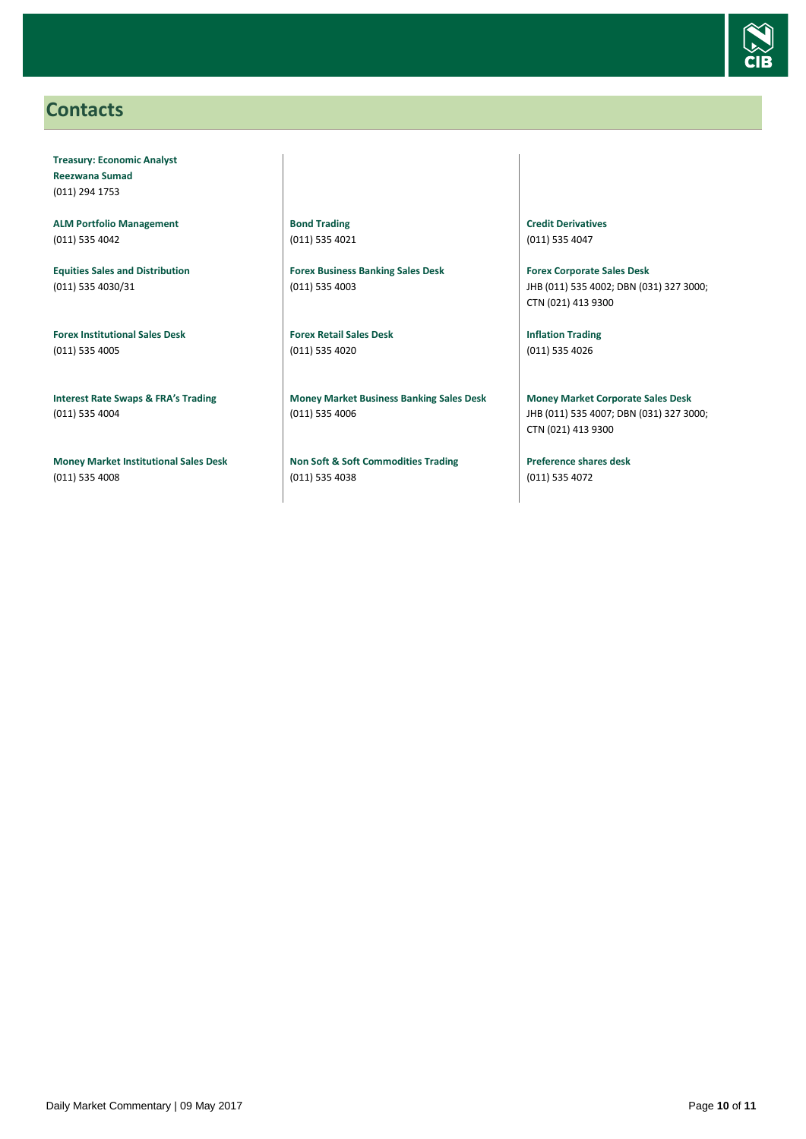

### <span id="page-9-0"></span>**Contacts**

**Treasury: Economic Analyst Reezwana Sumad** (011) 294 1753

**ALM Portfolio Management** (011) 535 4042

**Equities Sales and Distribution** (011) 535 4030/31

**Forex Institutional Sales Desk** (011) 535 4005

**Interest Rate Swaps & FRA's Trading** (011) 535 4004

**Money Market Institutional Sales Desk** (011) 535 4008

**Bond Trading** (011) 535 4021

**Forex Business Banking Sales Desk** (011) 535 4003

**Forex Retail Sales Desk** (011) 535 4020

**Money Market Business Banking Sales Desk** (011) 535 4006

**Non Soft & Soft Commodities Trading** (011) 535 4038

**Credit Derivatives**  (011) 535 4047

**Forex Corporate Sales Desk** JHB (011) 535 4002; DBN (031) 327 3000; CTN (021) 413 9300

**Inflation Trading** (011) 535 4026

**Money Market Corporate Sales Desk** JHB (011) 535 4007; DBN (031) 327 3000; CTN (021) 413 9300

**Preference shares desk** (011) 535 4072